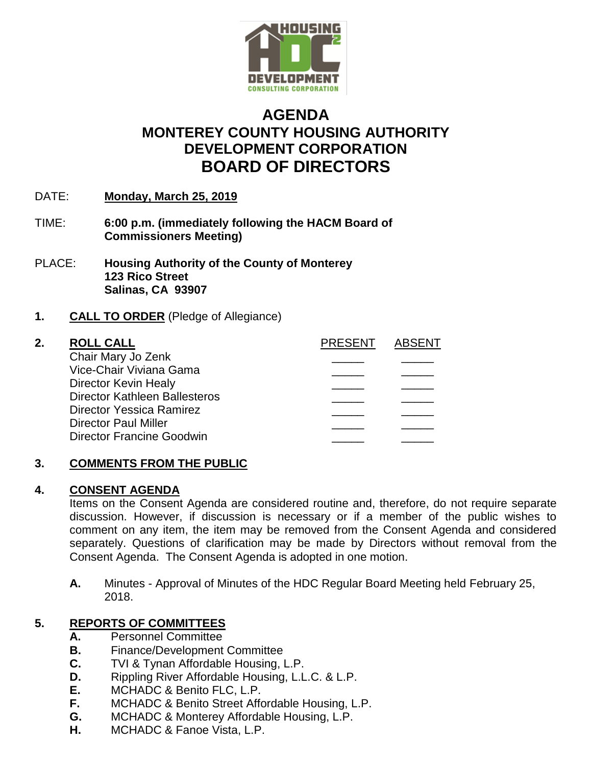

# **AGENDA MONTEREY COUNTY HOUSING AUTHORITY DEVELOPMENT CORPORATION BOARD OF DIRECTORS**

- DATE: **Monday, March 25, 2019**
- TIME: **6:00 p.m. (immediately following the HACM Board of Commissioners Meeting)**
- PLACE: **Housing Authority of the County of Monterey 123 Rico Street Salinas, CA 93907**

# **1. CALL TO ORDER** (Pledge of Allegiance)

| 2. | <b>ROLL CALL</b>                     | <b>PRESENT</b> | <b>ABSENT</b> |
|----|--------------------------------------|----------------|---------------|
|    | Chair Mary Jo Zenk                   |                |               |
|    | Vice-Chair Viviana Gama              |                |               |
|    | Director Kevin Healy                 |                |               |
|    | <b>Director Kathleen Ballesteros</b> |                |               |
|    | Director Yessica Ramirez             |                |               |
|    | <b>Director Paul Miller</b>          |                |               |
|    | <b>Director Francine Goodwin</b>     |                |               |
|    |                                      |                |               |

### **3. COMMENTS FROM THE PUBLIC**

### **4. CONSENT AGENDA**

Items on the Consent Agenda are considered routine and, therefore, do not require separate discussion. However, if discussion is necessary or if a member of the public wishes to comment on any item, the item may be removed from the Consent Agenda and considered separately. Questions of clarification may be made by Directors without removal from the Consent Agenda. The Consent Agenda is adopted in one motion.

**A.** Minutes - Approval of Minutes of the HDC Regular Board Meeting held February 25, 2018.

# **5. REPORTS OF COMMITTEES**

- **A.** Personnel Committee
- **B.** Finance/Development Committee
- **C.** TVI & Tynan Affordable Housing, L.P.
- **D.** Rippling River Affordable Housing, L.L.C. & L.P.
- **E.** MCHADC & Benito FLC, L.P.
- **F.** MCHADC & Benito Street Affordable Housing, L.P.
- **G.** MCHADC & Monterey Affordable Housing, L.P.
- **H.** MCHADC & Fanoe Vista, L.P.